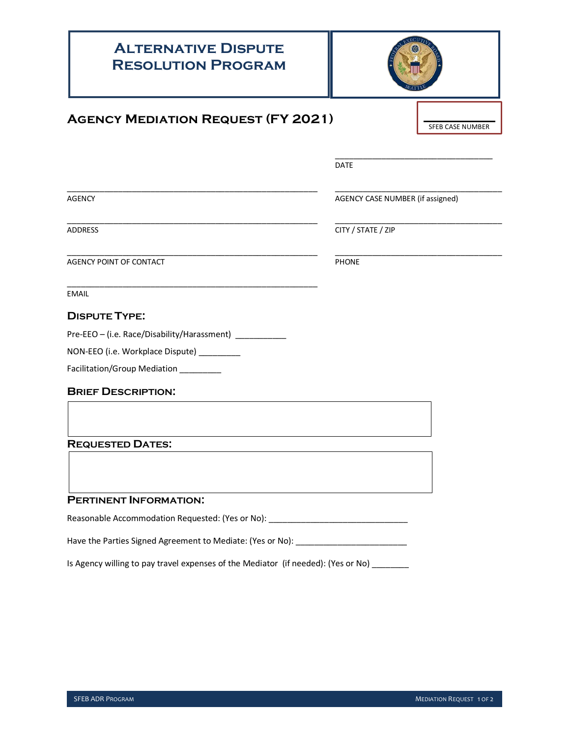## **Alternative Dispute Resolution Program Agency Mediation Request (FY 2021)** \_\_\_\_\_\_\_\_\_\_\_\_\_\_\_\_\_\_\_\_\_\_\_\_\_\_\_\_\_\_\_\_\_\_ DATE \_\_\_\_\_\_\_\_\_\_\_\_\_\_\_\_\_\_\_\_\_\_\_\_\_\_\_\_\_\_\_\_\_\_\_\_\_\_\_\_\_\_\_\_\_\_\_\_\_\_\_\_\_\_ \_\_\_\_\_\_\_\_\_\_\_\_\_\_\_\_\_\_\_\_\_\_\_\_\_\_\_\_\_\_\_\_\_\_\_\_ AGENCY AGENCY CASE NUMBER (if assigned) \_\_\_\_\_\_\_\_\_\_\_\_\_\_\_\_\_\_\_\_\_\_\_\_\_\_\_\_\_\_\_\_\_\_\_\_\_\_\_\_\_\_\_\_\_\_\_\_\_\_\_\_\_\_ \_\_\_\_\_\_\_\_\_\_\_\_\_\_\_\_\_\_\_\_\_\_\_\_\_\_\_\_\_\_\_\_\_\_\_\_ ADDRESS CITY / STATE / ZIP \_\_\_\_\_\_\_\_\_\_\_\_\_\_\_\_\_\_\_\_\_\_\_\_\_\_\_\_\_\_\_\_\_\_\_\_\_\_\_\_\_\_\_\_\_\_\_\_\_\_\_\_\_\_ \_\_\_\_\_\_\_\_\_\_\_\_\_\_\_\_\_\_\_\_\_\_\_\_\_\_\_\_\_\_\_\_\_\_\_\_ AGENCY POINT OF CONTACT PHONE \_\_\_\_\_\_\_\_\_\_\_\_\_\_\_\_\_\_\_\_\_\_\_\_\_\_\_\_\_\_\_\_\_\_\_\_\_\_\_\_\_\_\_\_\_\_\_\_\_\_\_\_\_\_ EMAIL **DISPUTE TYPE:** Pre-EEO – (i.e. Race/Disability/Harassment) \_\_\_\_\_\_\_\_\_\_\_\_ NON-EEO (i.e. Workplace Dispute) \_\_\_\_\_\_\_\_ Facilitation/Group Mediation \_\_\_\_\_\_\_\_\_ **BRIEF DESCRIPTION: REQUESTED DATES: PERTINENT INFORMATION:** Reasonable Accommodation Requested: (Yes or No): \_\_\_\_\_\_\_\_\_\_\_\_\_\_\_\_\_\_\_\_\_\_\_\_\_\_\_\_\_\_\_ Have the Parties Signed Agreement to Mediate: (Yes or No): \_\_\_\_\_\_\_\_\_\_\_\_\_\_\_\_\_\_\_\_\_ SFEB CASE NUMBER

Is Agency willing to pay travel expenses of the Mediator (if needed): (Yes or No) \_\_\_\_\_\_\_